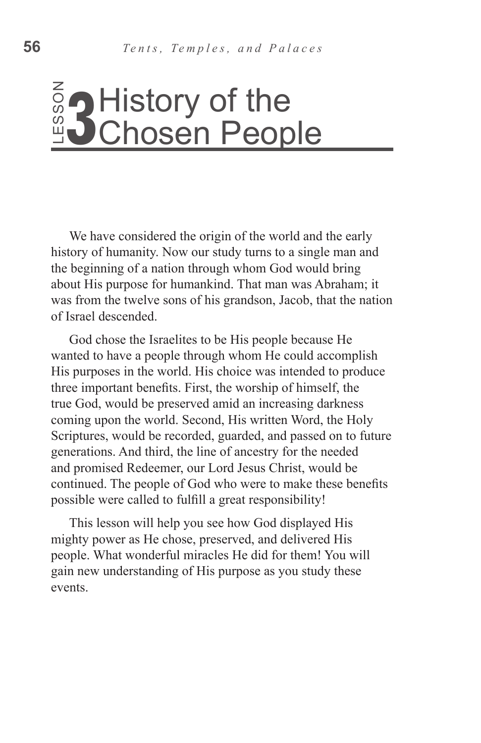# History of the Chosen People

We have considered the origin of the world and the early history of humanity. Now our study turns to a single man and the beginning of a nation through whom God would bring about His purpose for humankind. That man was Abraham; it was from the twelve sons of his grandson, Jacob, that the nation of Israel descended.

God chose the Israelites to be His people because He wanted to have a people through whom He could accomplish His purposes in the world. His choice was intended to produce three important benefits. First, the worship of himself, the true God, would be preserved amid an increasing darkness coming upon the world. Second, His written Word, the Holy Scriptures, would be recorded, guarded, and passed on to future generations. And third, the line of ancestry for the needed and promised Redeemer, our Lord Jesus Christ, would be continued. The people of God who were to make these benefits possible were called to fulfill a great responsibility! Eventage of the beginner of the beginner of the beginner of the beginner of the beginner of the beginner of the period wanted this purp three important of the scripture generation of this important possible This important

This lesson will help you see how God displayed His mighty power as He chose, preserved, and delivered His people. What wonderful miracles He did for them! You will gain new understanding of His purpose as you study these events.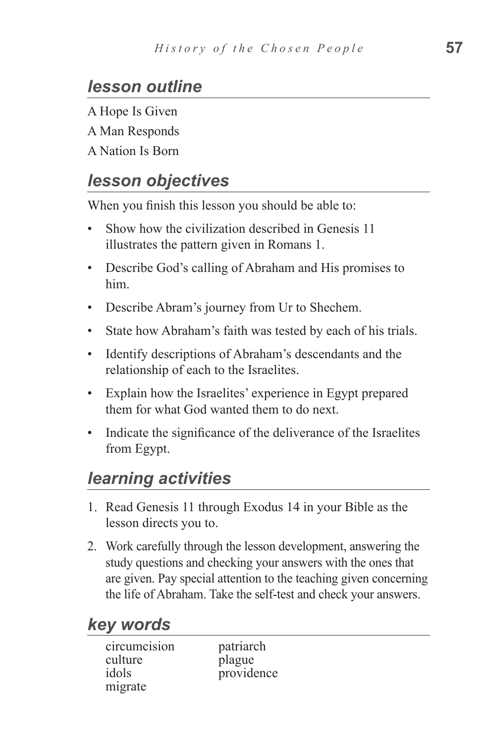# *lesson outline*

A Hope Is Given A Man Responds A Nation Is Born

# *lesson objectives*

When you finish this lesson you should be able to:

- Show how the civilization described in Genesis 11 illustrates the pattern given in Romans 1.
- Describe God's calling of Abraham and His promises to him.
- Describe Abram's journey from Ur to Shechem.
- State how Abraham's faith was tested by each of his trials.
- Identify descriptions of Abraham's descendants and the relationship of each to the Israelites.
- Explain how the Israelites' experience in Egypt prepared them for what God wanted them to do next.
- Indicate the significance of the deliverance of the Israelites from Egypt.

# *learning activities*

- 1. Read Genesis 11 through Exodus 14 in your Bible as the lesson directs you to.
- 2. Work carefully through the lesson development, answering the study questions and checking your answers with the ones that are given. Pay special attention to the teaching given concerning the life of Abraham. Take the self-test and check your answers.

# *key words*

| circumcision | patriarch  |
|--------------|------------|
| culture      | plague     |
| idols        | providence |
| migrate      |            |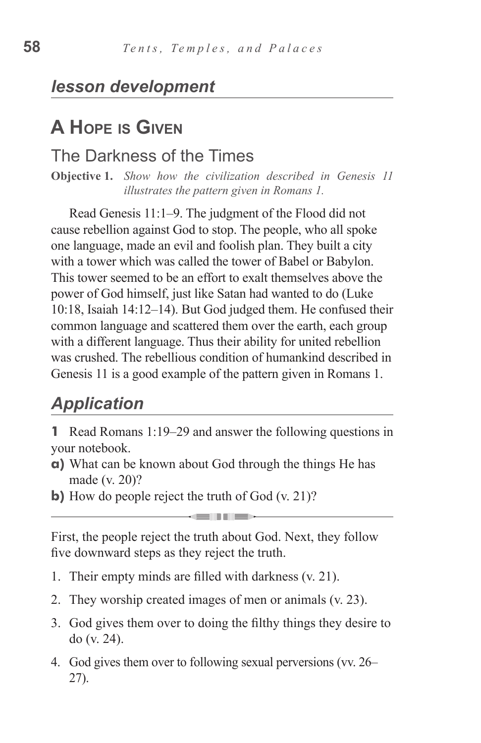### *lesson development*

# **A Hope is Given**

### The Darkness of the Times

**Objective 1.** *Show how the civilization described in Genesis 11 illustrates the pattern given in Romans 1.*

Read Genesis 11:1–9. The judgment of the Flood did not cause rebellion against God to stop. The people, who all spoke one language, made an evil and foolish plan. They built a city with a tower which was called the tower of Babel or Babylon. This tower seemed to be an effort to exalt themselves above the power of God himself, just like Satan had wanted to do (Luke 10:18, Isaiah 14:12–14). But God judged them. He confused their common language and scattered them over the earth, each group with a different language. Thus their ability for united rebellion was crushed. The rebellious condition of humankind described in Genesis 11 is a good example of the pattern given in Romans 1.

# *Application*

- **1** Read Romans 1:19–29 and answer the following questions in your notebook.
- **a)** What can be known about God through the things He has made (v. 20)?
- **b**) How do people reject the truth of God (v. 21)?

First, the people reject the truth about God. Next, they follow five downward steps as they reject the truth.

**CONTRACTOR** 

- 1. Their empty minds are filled with darkness (v. 21).
- 2. They worship created images of men or animals (v. 23).
- 3. God gives them over to doing the filthy things they desire to do (v. 24).
- 4. God gives them over to following sexual perversions (vv. 26– 27).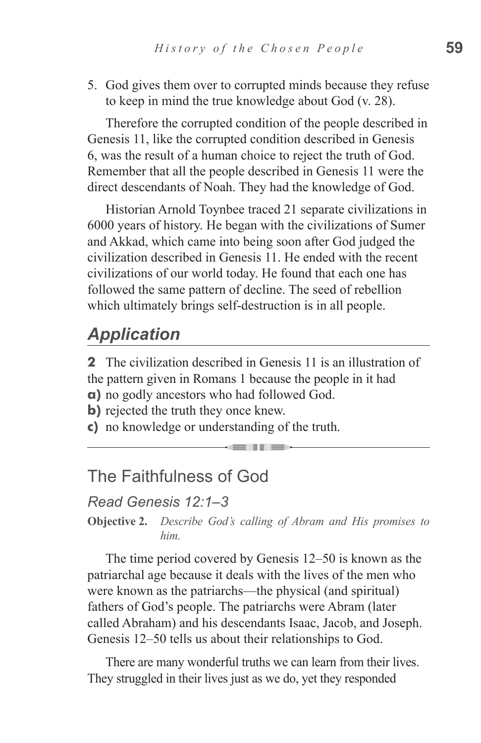5. God gives them over to corrupted minds because they refuse to keep in mind the true knowledge about God (v. 28).

Therefore the corrupted condition of the people described in Genesis 11, like the corrupted condition described in Genesis 6, was the result of a human choice to reject the truth of God. Remember that all the people described in Genesis 11 were the direct descendants of Noah. They had the knowledge of God.

Historian Arnold Toynbee traced 21 separate civilizations in 6000 years of history. He began with the civilizations of Sumer and Akkad, which came into being soon after God judged the civilization described in Genesis 11. He ended with the recent civilizations of our world today. He found that each one has followed the same pattern of decline. The seed of rebellion which ultimately brings self-destruction is in all people.

# *Application*

**2** The civilization described in Genesis 11 is an illustration of the pattern given in Romans 1 because the people in it had **a)** no godly ancestors who had followed God.

and the state of the state of the state of the state of the state of the state of the state of the state of the state of the state of the state of the state of the state of the state of the state of the state of the state

- **b**) rejected the truth they once knew.
- **c)** no knowledge or understanding of the truth.

### The Faithfulness of God

#### *Read Genesis 12:1–3*

**Objective 2.** *Describe God's calling of Abram and His promises to him.*

The time period covered by Genesis 12–50 is known as the patriarchal age because it deals with the lives of the men who were known as the patriarchs—the physical (and spiritual) fathers of God's people. The patriarchs were Abram (later called Abraham) and his descendants Isaac, Jacob, and Joseph. Genesis 12–50 tells us about their relationships to God.

There are many wonderful truths we can learn from their lives. They struggled in their lives just as we do, yet they responded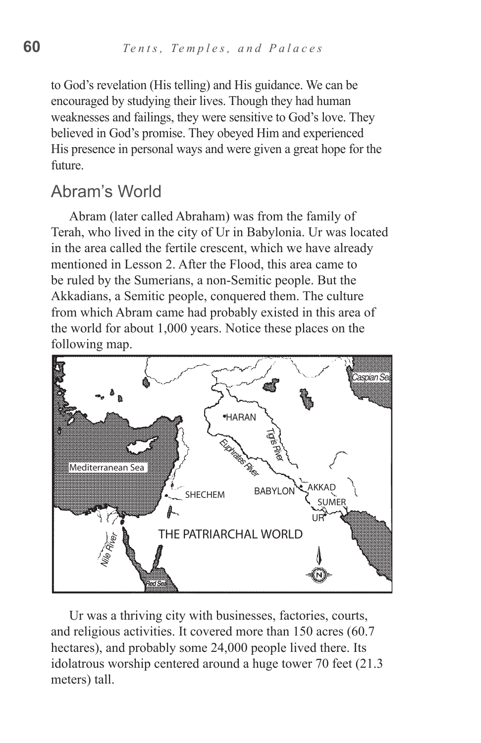to God's revelation (His telling) and His guidance. We can be encouraged by studying their lives. Though they had human weaknesses and failings, they were sensitive to God's love. They believed in God's promise. They obeyed Him and experienced His presence in personal ways and were given a great hope for the future.

### Abram's World

Abram (later called Abraham) was from the family of Terah, who lived in the city of Ur in Babylonia. Ur was located in the area called the fertile crescent, which we have already mentioned in Lesson 2. After the Flood, this area came to be ruled by the Sumerians, a non-Semitic people. But the Akkadians, a Semitic people, conquered them. The culture from which Abram came had probably existed in this area of the world for about 1,000 years. Notice these places on the following map.



Ur was a thriving city with businesses, factories, courts, and religious activities. It covered more than 150 acres (60.7 hectares), and probably some 24,000 people lived there. Its idolatrous worship centered around a huge tower 70 feet (21.3 meters) tall.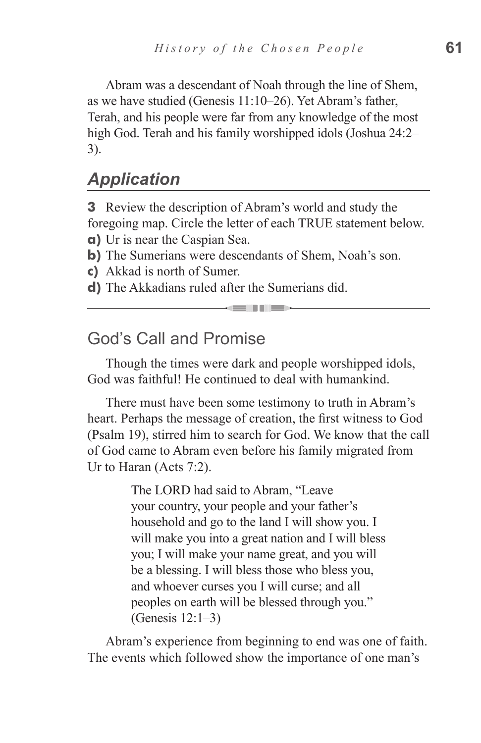Abram was a descendant of Noah through the line of Shem, as we have studied (Genesis 11:10–26). Yet Abram's father, Terah, and his people were far from any knowledge of the most high God. Terah and his family worshipped idols (Joshua 24:2– 3).

### *Application*

**3** Review the description of Abram's world and study the foregoing map. Circle the letter of each TRUE statement below.

**a)** Ur is near the Caspian Sea.

**b**) The Sumerians were descendants of Shem, Noah's son.

**c)** Akkad is north of Sumer.

**d)** The Akkadians ruled after the Sumerians did.

### God's Call and Promise

Though the times were dark and people worshipped idols, God was faithful! He continued to deal with humankind.

and in the sea

There must have been some testimony to truth in Abram's heart. Perhaps the message of creation, the first witness to God (Psalm 19), stirred him to search for God. We know that the call of God came to Abram even before his family migrated from Ur to Haran (Acts 7:2).

> The LORD had said to Abram, "Leave your country, your people and your father's household and go to the land I will show you. I will make you into a great nation and I will bless you; I will make your name great, and you will be a blessing. I will bless those who bless you, and whoever curses you I will curse; and all peoples on earth will be blessed through you." (Genesis 12:1–3)

Abram's experience from beginning to end was one of faith. The events which followed show the importance of one man's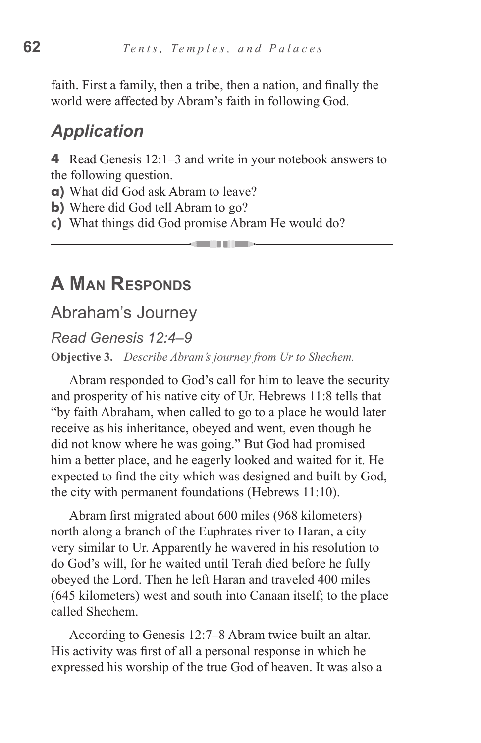faith. First a family, then a tribe, then a nation, and finally the world were affected by Abram's faith in following God.

### *Application*

**4** Read Genesis 12:1–3 and write in your notebook answers to the following question.

- **a)** What did God ask Abram to leave?
- **b**) Where did God tell Abram to go?
- **c)** What things did God promise Abram He would do?

# **A Man Responds**

### Abraham's Journey

#### *Read Genesis 12:4–9*

**Objective 3.** *Describe Abram's journey from Ur to Shechem.*

Abram responded to God's call for him to leave the security and prosperity of his native city of Ur. Hebrews 11:8 tells that "by faith Abraham, when called to go to a place he would later receive as his inheritance, obeyed and went, even though he did not know where he was going." But God had promised him a better place, and he eagerly looked and waited for it. He expected to find the city which was designed and built by God, the city with permanent foundations (Hebrews 11:10).

Abram first migrated about 600 miles (968 kilometers) north along a branch of the Euphrates river to Haran, a city very similar to Ur. Apparently he wavered in his resolution to do God's will, for he waited until Terah died before he fully obeyed the Lord. Then he left Haran and traveled 400 miles (645 kilometers) west and south into Canaan itself; to the place called Shechem.

According to Genesis 12:7–8 Abram twice built an altar. His activity was first of all a personal response in which he expressed his worship of the true God of heaven. It was also a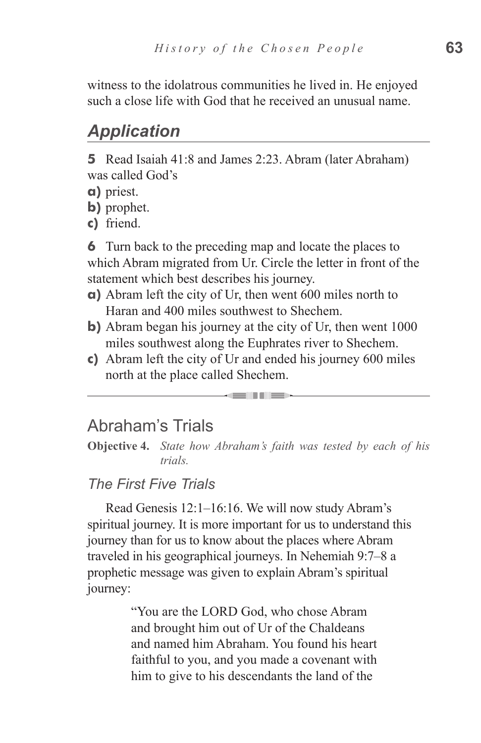witness to the idolatrous communities he lived in. He enjoyed such a close life with God that he received an unusual name.

### *Application*

**5** Read Isaiah 41:8 and James 2:23. Abram (later Abraham) was called God's

- **a)** priest.
- **b)** prophet.

**c)** friend.

**6** Turn back to the preceding map and locate the places to which Abram migrated from Ur. Circle the letter in front of the statement which best describes his journey.

- **a)** Abram left the city of Ur, then went 600 miles north to Haran and 400 miles southwest to Shechem.
- **b**) Abram began his journey at the city of Ur, then went 1000 miles southwest along the Euphrates river to Shechem.
- **c)** Abram left the city of Ur and ended his journey 600 miles north at the place called Shechem.

### Abraham's Trials

**Objective 4.** *State how Abraham's faith was tested by each of his trials.* 

- 11 - 11 - 11 - 11

### *The First Five Trials*

Read Genesis 12:1–16:16. We will now study Abram's spiritual journey. It is more important for us to understand this journey than for us to know about the places where Abram traveled in his geographical journeys. In Nehemiah 9:7–8 a prophetic message was given to explain Abram's spiritual journey:

> "You are the LORD God, who chose Abram and brought him out of Ur of the Chaldeans and named him Abraham. You found his heart faithful to you, and you made a covenant with him to give to his descendants the land of the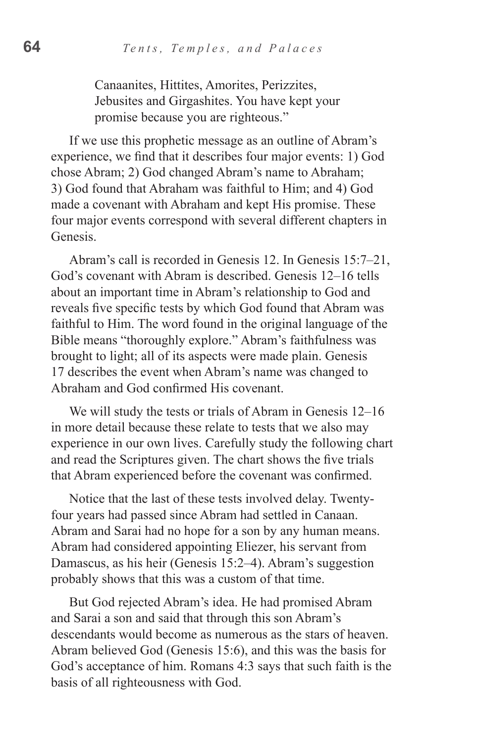Canaanites, Hittites, Amorites, Perizzites, Jebusites and Girgashites. You have kept your promise because you are righteous."

If we use this prophetic message as an outline of Abram's experience, we find that it describes four major events: 1) God chose Abram; 2) God changed Abram's name to Abraham; 3) God found that Abraham was faithful to Him; and 4) God made a covenant with Abraham and kept His promise. These four major events correspond with several different chapters in Genesis.

Abram's call is recorded in Genesis 12. In Genesis 15:7–21, God's covenant with Abram is described. Genesis 12–16 tells about an important time in Abram's relationship to God and reveals five specific tests by which God found that Abram was faithful to Him. The word found in the original language of the Bible means "thoroughly explore." Abram's faithfulness was brought to light; all of its aspects were made plain. Genesis 17 describes the event when Abram's name was changed to Abraham and God confirmed His covenant.

We will study the tests or trials of Abram in Genesis 12–16 in more detail because these relate to tests that we also may experience in our own lives. Carefully study the following chart and read the Scriptures given. The chart shows the five trials that Abram experienced before the covenant was confirmed.

Notice that the last of these tests involved delay. Twentyfour years had passed since Abram had settled in Canaan. Abram and Sarai had no hope for a son by any human means. Abram had considered appointing Eliezer, his servant from Damascus, as his heir (Genesis 15:2–4). Abram's suggestion probably shows that this was a custom of that time.

But God rejected Abram's idea. He had promised Abram and Sarai a son and said that through this son Abram's descendants would become as numerous as the stars of heaven. Abram believed God (Genesis 15:6), and this was the basis for God's acceptance of him. Romans 4:3 says that such faith is the basis of all righteousness with God.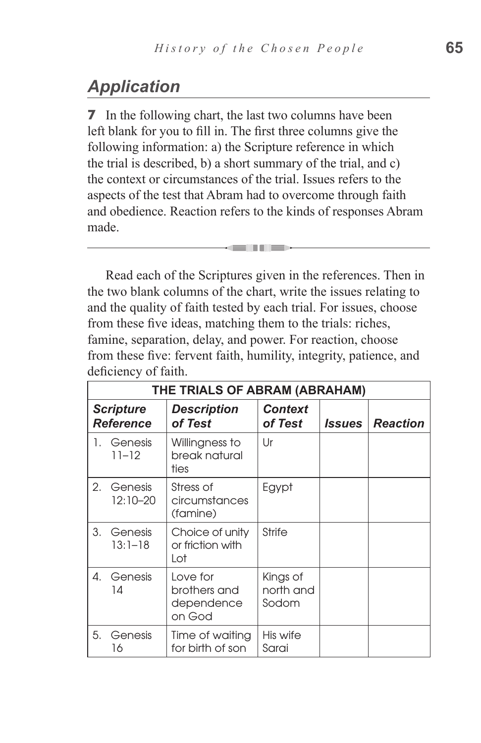# *Application*

**7** In the following chart, the last two columns have been left blank for you to fill in. The first three columns give the following information: a) the Scripture reference in which the trial is described, b) a short summary of the trial, and c) the context or circumstances of the trial. Issues refers to the aspects of the test that Abram had to overcome through faith and obedience. Reaction refers to the kinds of responses Abram made.

Read each of the Scriptures given in the references. Then in the two blank columns of the chart, write the issues relating to and the quality of faith tested by each trial. For issues, choose from these five ideas, matching them to the trials: riches, famine, separation, delay, and power. For reaction, choose from these five: fervent faith, humility, integrity, patience, and deficiency of faith.

<u>sain dhe</u>

| THE TRIALS OF ABRAM (ABRAHAM)        |                        |                                                  |                                |                      |                 |
|--------------------------------------|------------------------|--------------------------------------------------|--------------------------------|----------------------|-----------------|
| <b>Scripture</b><br><b>Reference</b> |                        | <b>Description</b><br>of Test                    | <b>Context</b><br>of Test      | <i><b>Issues</b></i> | <b>Reaction</b> |
| 1.                                   | Genesis<br>$11 - 12$   | Willingness to<br>break natural<br>ties          | Ur                             |                      |                 |
| 2.                                   | Genesis<br>12:10-20    | Stress of<br>circumstances<br>(famine)           | Egypt                          |                      |                 |
| 3.                                   | Genesis<br>$13:1 - 18$ | Choice of unity<br>or friction with<br>Lot       | <b>Strife</b>                  |                      |                 |
| 4.                                   | Genesis<br>14          | Love for<br>brothers and<br>dependence<br>on God | Kings of<br>north and<br>Sodom |                      |                 |
| 5.                                   | Genesis<br>16          | Time of waiting<br>for birth of son              | His wife<br>Sarai              |                      |                 |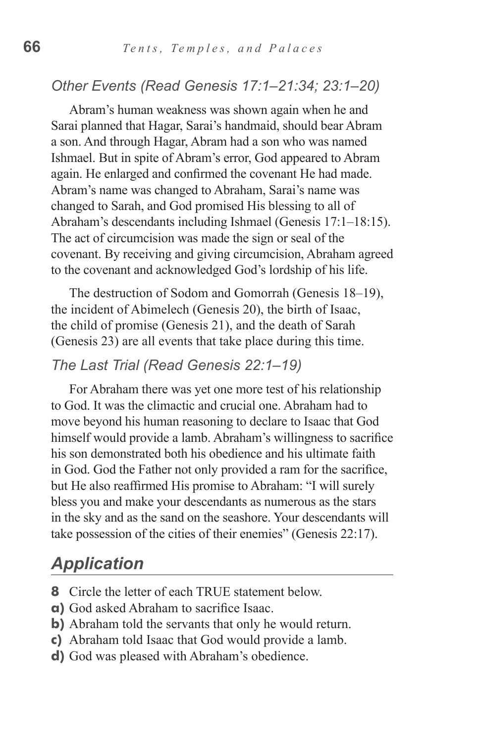#### *Other Events (Read Genesis 17:1–21:34; 23:1–20)*

Abram's human weakness was shown again when he and Sarai planned that Hagar, Sarai's handmaid, should bear Abram a son. And through Hagar, Abram had a son who was named Ishmael. But in spite of Abram's error, God appeared to Abram again. He enlarged and confirmed the covenant He had made. Abram's name was changed to Abraham, Sarai's name was changed to Sarah, and God promised His blessing to all of Abraham's descendants including Ishmael (Genesis 17:1–18:15). The act of circumcision was made the sign or seal of the covenant. By receiving and giving circumcision, Abraham agreed to the covenant and acknowledged God's lordship of his life.

The destruction of Sodom and Gomorrah (Genesis 18–19), the incident of Abimelech (Genesis 20), the birth of Isaac, the child of promise (Genesis 21), and the death of Sarah (Genesis 23) are all events that take place during this time.

#### *The Last Trial (Read Genesis 22:1–19)*

For Abraham there was yet one more test of his relationship to God. It was the climactic and crucial one. Abraham had to move beyond his human reasoning to declare to Isaac that God himself would provide a lamb. Abraham's willingness to sacrifice his son demonstrated both his obedience and his ultimate faith in God. God the Father not only provided a ram for the sacrifice, but He also reaffirmed His promise to Abraham: "I will surely bless you and make your descendants as numerous as the stars in the sky and as the sand on the seashore. Your descendants will take possession of the cities of their enemies" (Genesis 22:17).

### *Application*

- **8** Circle the letter of each TRUE statement below.
- **a)** God asked Abraham to sacrifice Isaac.
- **b)** Abraham told the servants that only he would return.
- **c)** Abraham told Isaac that God would provide a lamb.
- **d)** God was pleased with Abraham's obedience.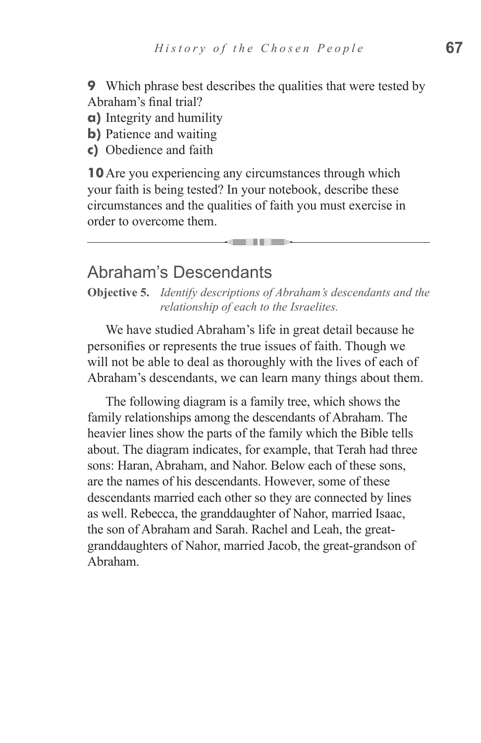**9** Which phrase best describes the qualities that were tested by Abraham's final trial?

- **a)** Integrity and humility
- **b)** Patience and waiting
- **c)** Obedience and faith

**10**Are you experiencing any circumstances through which your faith is being tested? In your notebook, describe these circumstances and the qualities of faith you must exercise in order to overcome them.

### Abraham's Descendants

**Objective 5.** *Identify descriptions of Abraham's descendants and the relationship of each to the Israelites.*

\_\_\_

We have studied Abraham's life in great detail because he personifies or represents the true issues of faith. Though we will not be able to deal as thoroughly with the lives of each of Abraham's descendants, we can learn many things about them.

The following diagram is a family tree, which shows the family relationships among the descendants of Abraham. The heavier lines show the parts of the family which the Bible tells about. The diagram indicates, for example, that Terah had three sons: Haran, Abraham, and Nahor. Below each of these sons, are the names of his descendants. However, some of these descendants married each other so they are connected by lines as well. Rebecca, the granddaughter of Nahor, married Isaac, the son of Abraham and Sarah. Rachel and Leah, the greatgranddaughters of Nahor, married Jacob, the great-grandson of Abraham.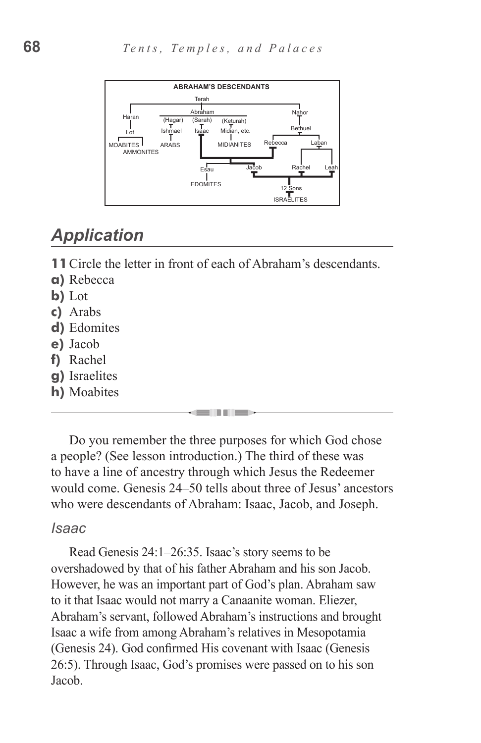

# *Application*

**11**Circle the letter in front of each of Abraham's descendants.

- **a)** Rebecca
- **b)** Lot
- **c)** Arabs
- **d)** Edomites
- **e)** Jacob
- **f)** Rachel
- **g)** Israelites
- **h)** Moabites

Do you remember the three purposes for which God chose a people? (See lesson introduction.) The third of these was to have a line of ancestry through which Jesus the Redeemer would come. Genesis 24–50 tells about three of Jesus' ancestors who were descendants of Abraham: Isaac, Jacob, and Joseph.

#### *Isaac*

Read Genesis 24:1–26:35. Isaac's story seems to be overshadowed by that of his father Abraham and his son Jacob. However, he was an important part of God's plan. Abraham saw to it that Isaac would not marry a Canaanite woman. Eliezer, Abraham's servant, followed Abraham's instructions and brought Isaac a wife from among Abraham's relatives in Mesopotamia (Genesis 24). God confirmed His covenant with Isaac (Genesis 26:5). Through Isaac, God's promises were passed on to his son Jacob.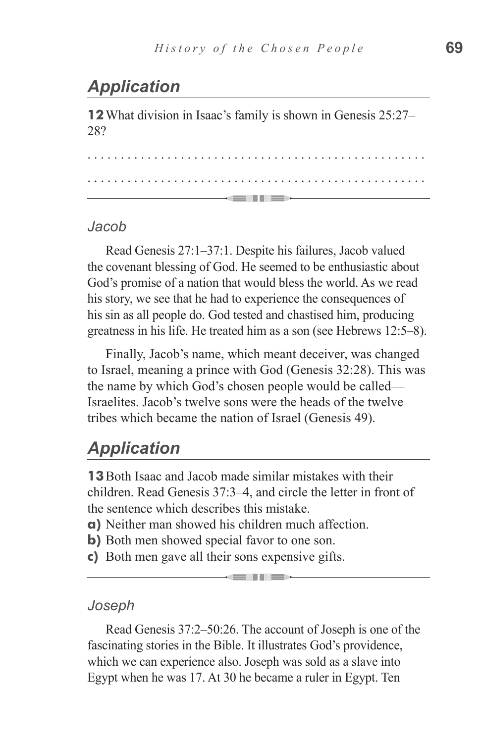# *Application*

**12**What division in Isaac's family is shown in Genesis 25:27– 28?

. . . . . . . . . . . . . . . . . . . . . . . . . . . . . . . . . . . . . . . . . . . . . . . . . . . . . . . . . . . . . . . . . . . . . . . . . . . . . . . . . . . . . . . . . . . . . . . . . . . . . . <u>— anii 11 me</u>

#### *Jacob*

Read Genesis 27:1–37:1. Despite his failures, Jacob valued the covenant blessing of God. He seemed to be enthusiastic about God's promise of a nation that would bless the world. As we read his story, we see that he had to experience the consequences of his sin as all people do. God tested and chastised him, producing greatness in his life. He treated him as a son (see Hebrews 12:5–8).

Finally, Jacob's name, which meant deceiver, was changed to Israel, meaning a prince with God (Genesis 32:28). This was the name by which God's chosen people would be called— Israelites. Jacob's twelve sons were the heads of the twelve tribes which became the nation of Israel (Genesis 49).

### *Application*

**13**Both Isaac and Jacob made similar mistakes with their children. Read Genesis 37:3–4, and circle the letter in front of the sentence which describes this mistake.

- **a)** Neither man showed his children much affection.
- **b**) Both men showed special favor to one son.
- **c)** Both men gave all their sons expensive gifts.

#### *Joseph*

Read Genesis 37:2–50:26. The account of Joseph is one of the fascinating stories in the Bible. It illustrates God's providence, which we can experience also. Joseph was sold as a slave into Egypt when he was 17. At 30 he became a ruler in Egypt. Ten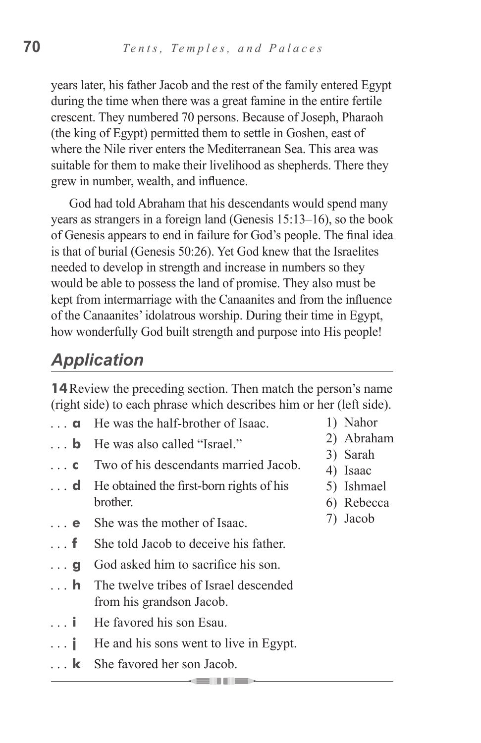years later, his father Jacob and the rest of the family entered Egypt during the time when there was a great famine in the entire fertile crescent. They numbered 70 persons. Because of Joseph, Pharaoh (the king of Egypt) permitted them to settle in Goshen, east of where the Nile river enters the Mediterranean Sea. This area was suitable for them to make their livelihood as shepherds. There they grew in number, wealth, and influence.

God had told Abraham that his descendants would spend many years as strangers in a foreign land (Genesis 15:13–16), so the book of Genesis appears to end in failure for God's people. The final idea is that of burial (Genesis 50:26). Yet God knew that the Israelites needed to develop in strength and increase in numbers so they would be able to possess the land of promise. They also must be kept from intermarriage with the Canaanites and from the influence of the Canaanites' idolatrous worship. During their time in Egypt, how wonderfully God built strength and purpose into His people!

# *Application*

**14** Review the preceding section. Then match the person's name (right side) to each phrase which describes him or her (left side).

- **a** He was the half-brother of Isaac.
- **b** He was also called "Israel."
- **c** Two of his descendants married Jacob.
- **d** He obtained the first-born rights of his **brother**
- **e** She was the mother of Isaac.
- **f** She told Jacob to deceive his father
- **g** God asked him to sacrifice his son.
- **h** The twelve tribes of Israel descended from his grandson Jacob.
- **i** He favored his son Esau.
- **j** He and his sons went to live in Egypt.

a se in dies

**k** She favored her son Jacob.

- 1) Nahor
- 2) Abraham
- 3) Sarah
- 4) Isaac
- 5) Ishmael
- 6) Rebecca
- 7) Jacob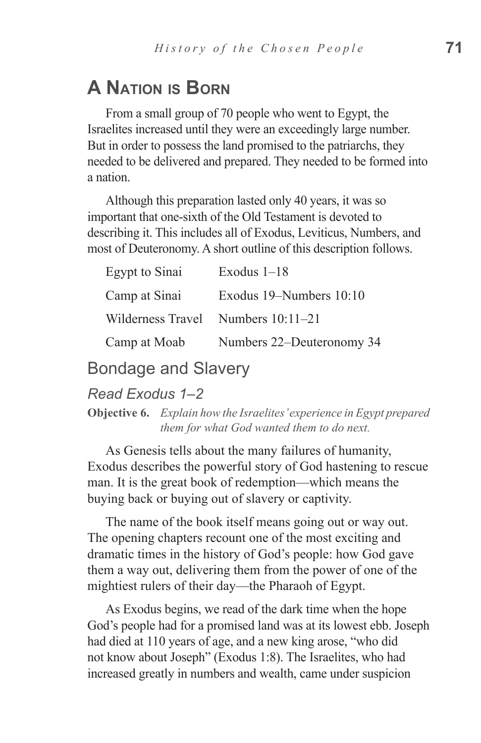# **A Nation is Born**

From a small group of 70 people who went to Egypt, the Israelites increased until they were an exceedingly large number. But in order to possess the land promised to the patriarchs, they needed to be delivered and prepared. They needed to be formed into a nation.

Although this preparation lasted only 40 years, it was so important that one-sixth of the Old Testament is devoted to describing it. This includes all of Exodus, Leviticus, Numbers, and most of Deuteronomy. A short outline of this description follows.

| Egypt to Sinai    | Exodus $1-18$             |
|-------------------|---------------------------|
| Camp at Sinai     | Exodus 19–Numbers 10:10   |
| Wilderness Travel | Numbers $10:11-21$        |
| Camp at Moab      | Numbers 22–Deuteronomy 34 |

Bondage and Slavery

#### *Read Exodus 1–2*

**Objective 6.** *Explain how the Israelites' experience in Egypt prepared them for what God wanted them to do next.*

As Genesis tells about the many failures of humanity, Exodus describes the powerful story of God hastening to rescue man. It is the great book of redemption—which means the buying back or buying out of slavery or captivity.

The name of the book itself means going out or way out. The opening chapters recount one of the most exciting and dramatic times in the history of God's people: how God gave them a way out, delivering them from the power of one of the mightiest rulers of their day—the Pharaoh of Egypt.

As Exodus begins, we read of the dark time when the hope God's people had for a promised land was at its lowest ebb. Joseph had died at 110 years of age, and a new king arose, "who did not know about Joseph" (Exodus 1:8). The Israelites, who had increased greatly in numbers and wealth, came under suspicion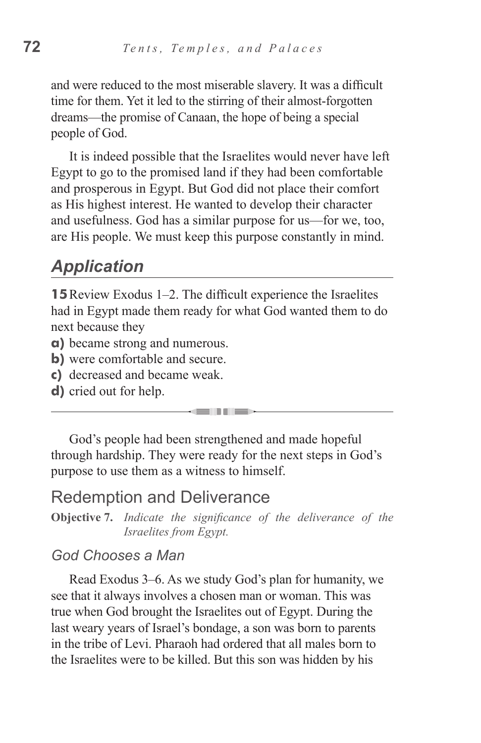and were reduced to the most miserable slavery. It was a difficult time for them. Yet it led to the stirring of their almost-forgotten dreams—the promise of Canaan, the hope of being a special people of God.

It is indeed possible that the Israelites would never have left Egypt to go to the promised land if they had been comfortable and prosperous in Egypt. But God did not place their comfort as His highest interest. He wanted to develop their character and usefulness. God has a similar purpose for us—for we, too, are His people. We must keep this purpose constantly in mind.

### *Application*

**15**Review Exodus 1–2. The difficult experience the Israelites had in Egypt made them ready for what God wanted them to do next because they

- **a)** became strong and numerous.
- **b)** were comfortable and secure.
- **c)** decreased and became weak.
- **d)** cried out for help.

God's people had been strengthened and made hopeful through hardship. They were ready for the next steps in God's purpose to use them as a witness to himself.

n a shekara

### Redemption and Deliverance

**Objective 7.** *Indicate the significance of the deliverance of the Israelites from Egypt.*

#### *God Chooses a Man*

Read Exodus 3–6. As we study God's plan for humanity, we see that it always involves a chosen man or woman. This was true when God brought the Israelites out of Egypt. During the last weary years of Israel's bondage, a son was born to parents in the tribe of Levi. Pharaoh had ordered that all males born to the Israelites were to be killed. But this son was hidden by his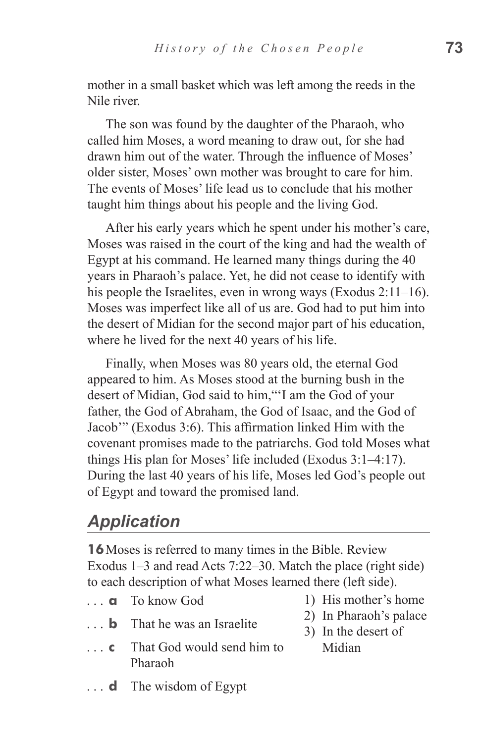mother in a small basket which was left among the reeds in the Nile river.

The son was found by the daughter of the Pharaoh, who called him Moses, a word meaning to draw out, for she had drawn him out of the water. Through the influence of Moses' older sister, Moses' own mother was brought to care for him. The events of Moses' life lead us to conclude that his mother taught him things about his people and the living God.

After his early years which he spent under his mother's care, Moses was raised in the court of the king and had the wealth of Egypt at his command. He learned many things during the 40 years in Pharaoh's palace. Yet, he did not cease to identify with his people the Israelites, even in wrong ways (Exodus 2:11–16). Moses was imperfect like all of us are. God had to put him into the desert of Midian for the second major part of his education, where he lived for the next 40 years of his life.

Finally, when Moses was 80 years old, the eternal God appeared to him. As Moses stood at the burning bush in the desert of Midian, God said to him,"'I am the God of your father, the God of Abraham, the God of Isaac, and the God of Jacob'" (Exodus 3:6). This affirmation linked Him with the covenant promises made to the patriarchs. God told Moses what things His plan for Moses' life included (Exodus 3:1–4:17). During the last 40 years of his life, Moses led God's people out of Egypt and toward the promised land.

### *Application*

**16**Moses is referred to many times in the Bible. Review Exodus 1–3 and read Acts 7:22–30. Match the place (right side) to each description of what Moses learned there (left side).

- ... **a** To know God
- **b** That he was an Israelite
- **c** That God would send him to Pharaoh
- **d** The wisdom of Egypt
- 1) His mother's home
- 2) In Pharaoh's palace
- 3) In the desert of Midian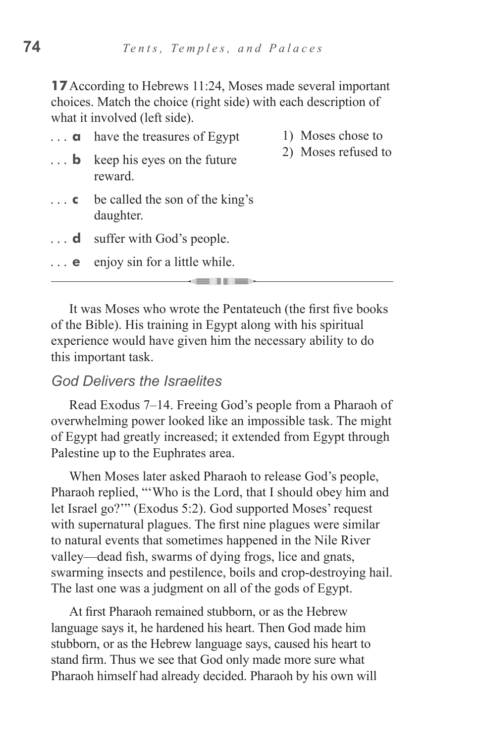**17** According to Hebrews 11:24, Moses made several important choices. Match the choice (right side) with each description of what it involved (left side).

- **a** have the treasures of Egypt
- 1) Moses chose to 2) Moses refused to
- **b** keep his eyes on the future reward.
- **c** be called the son of the king's daughter.
- **d** suffer with God's people.
- **e** enjoy sin for a little while.

It was Moses who wrote the Pentateuch (the first five books of the Bible). His training in Egypt along with his spiritual experience would have given him the necessary ability to do this important task.

#### *God Delivers the Israelites*

Read Exodus 7–14. Freeing God's people from a Pharaoh of overwhelming power looked like an impossible task. The might of Egypt had greatly increased; it extended from Egypt through Palestine up to the Euphrates area.

When Moses later asked Pharaoh to release God's people, Pharaoh replied, "'Who is the Lord, that I should obey him and let Israel go?'" (Exodus 5:2). God supported Moses' request with supernatural plagues. The first nine plagues were similar to natural events that sometimes happened in the Nile River valley—dead fish, swarms of dying frogs, lice and gnats, swarming insects and pestilence, boils and crop-destroying hail. The last one was a judgment on all of the gods of Egypt.

At first Pharaoh remained stubborn, or as the Hebrew language says it, he hardened his heart. Then God made him stubborn, or as the Hebrew language says, caused his heart to stand firm. Thus we see that God only made more sure what Pharaoh himself had already decided. Pharaoh by his own will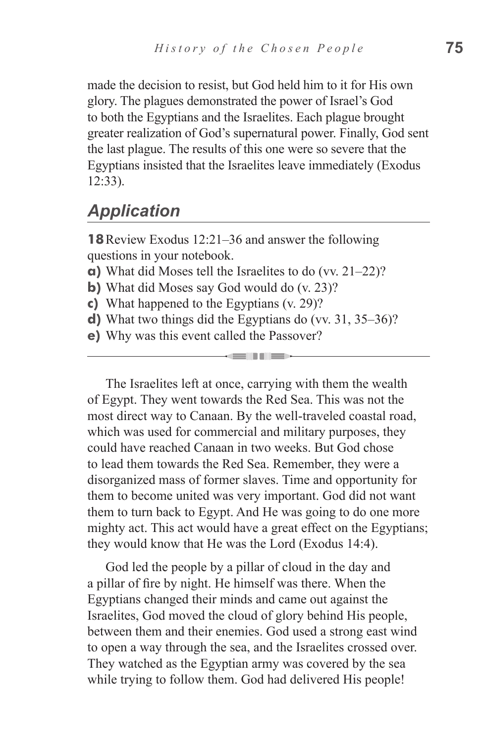made the decision to resist, but God held him to it for His own glory. The plagues demonstrated the power of Israel's God to both the Egyptians and the Israelites. Each plague brought greater realization of God's supernatural power. Finally, God sent the last plague. The results of this one were so severe that the Egyptians insisted that the Israelites leave immediately (Exodus 12:33).

# *Application*

**18**Review Exodus 12:21–36 and answer the following questions in your notebook.

- **a)** What did Moses tell the Israelites to do (vv. 21–22)?
- **b**) What did Moses say God would do (v. 23)?
- **c)** What happened to the Egyptians (v. 29)?
- **d)** What two things did the Egyptians do (vv. 31, 35–36)?

 $\blacksquare$ 

**e)** Why was this event called the Passover?

The Israelites left at once, carrying with them the wealth of Egypt. They went towards the Red Sea. This was not the most direct way to Canaan. By the well-traveled coastal road, which was used for commercial and military purposes, they could have reached Canaan in two weeks. But God chose to lead them towards the Red Sea. Remember, they were a disorganized mass of former slaves. Time and opportunity for them to become united was very important. God did not want them to turn back to Egypt. And He was going to do one more mighty act. This act would have a great effect on the Egyptians; they would know that He was the Lord (Exodus 14:4).

God led the people by a pillar of cloud in the day and a pillar of fire by night. He himself was there. When the Egyptians changed their minds and came out against the Israelites, God moved the cloud of glory behind His people, between them and their enemies. God used a strong east wind to open a way through the sea, and the Israelites crossed over. They watched as the Egyptian army was covered by the sea while trying to follow them. God had delivered His people!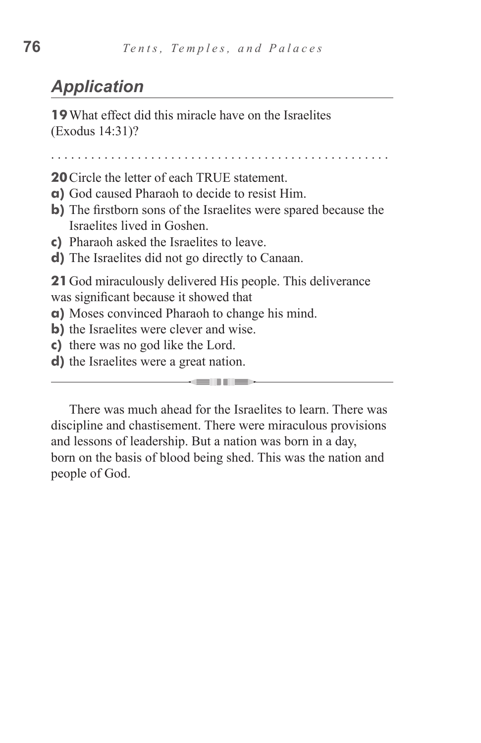# *Application*

**19**What effect did this miracle have on the Israelites (Exodus 14:31)?

. . . . . . . . . . . . . . . . . . . . . . . . . . . . . . . . . . . . . . . . . . . . . . . . . . .

**20**Circle the letter of each TRUE statement.

- **a)** God caused Pharaoh to decide to resist Him.
- **b)** The firstborn sons of the Israelites were spared because the Israelites lived in Goshen.
- **c)** Pharaoh asked the Israelites to leave.
- **d)** The Israelites did not go directly to Canaan.

**21**God miraculously delivered His people. This deliverance was significant because it showed that

**a)** Moses convinced Pharaoh to change his mind.

- **b**) the Israelites were clever and wise.
- **c)** there was no god like the Lord.
- **d)** the Israelites were a great nation.

There was much ahead for the Israelites to learn. There was discipline and chastisement. There were miraculous provisions and lessons of leadership. But a nation was born in a day, born on the basis of blood being shed. This was the nation and people of God.

**SENTINES**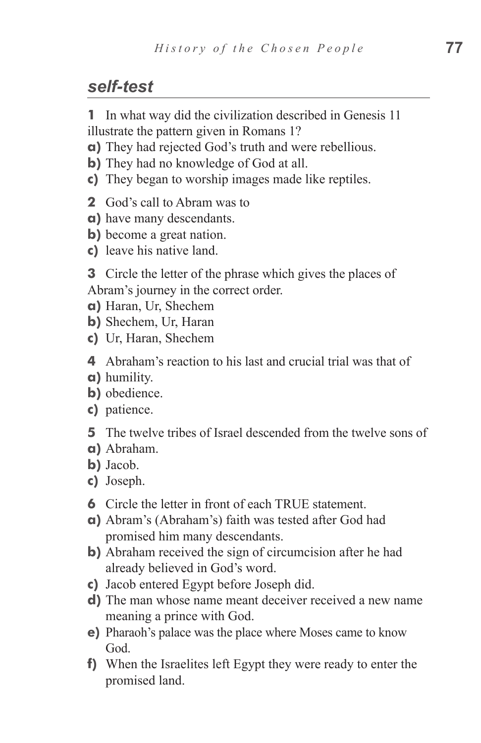# *self-test*

**1** In what way did the civilization described in Genesis 11 illustrate the pattern given in Romans 1?

- **a)** They had rejected God's truth and were rebellious.
- **b)** They had no knowledge of God at all.
- **c)** They began to worship images made like reptiles.
- **2** God's call to Abram was to
- **a)** have many descendants.
- **b)** become a great nation.
- **c)** leave his native land.

**3** Circle the letter of the phrase which gives the places of Abram's journey in the correct order.

- **a)** Haran, Ur, Shechem
- **b)** Shechem, Ur, Haran
- **c)** Ur, Haran, Shechem

**4** Abraham's reaction to his last and crucial trial was that of

- **a)** humility.
- **b)** obedience.
- **c)** patience.
- **5** The twelve tribes of Israel descended from the twelve sons of
- **a)** Abraham.
- **b)** Jacob.
- **c)** Joseph.
- **6** Circle the letter in front of each TRUE statement.
- **a)** Abram's (Abraham's) faith was tested after God had promised him many descendants.
- **b)** Abraham received the sign of circumcision after he had already believed in God's word.
- **c)** Jacob entered Egypt before Joseph did.
- **d)** The man whose name meant deceiver received a new name meaning a prince with God.
- **e)** Pharaoh's palace was the place where Moses came to know God.
- **f)** When the Israelites left Egypt they were ready to enter the promised land.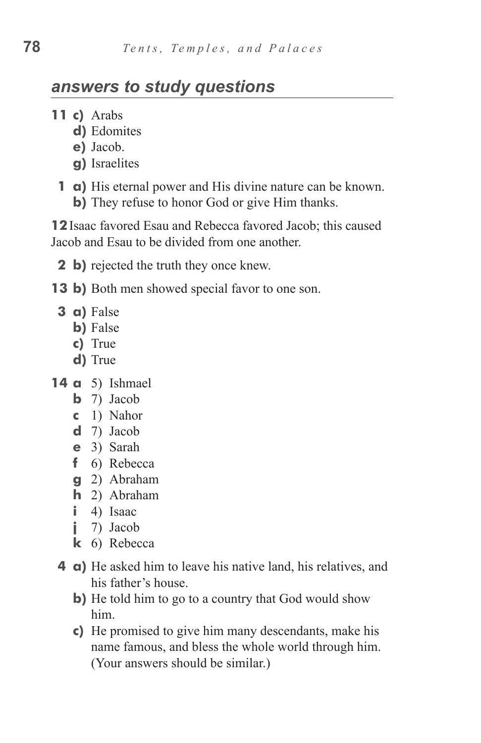# *answers to study questions*

- **11 c)** Arabs
	- d) Edomites
	- **e)** Jacob.
	- **g)** Israelites
	- **1 a)** His eternal power and His divine nature can be known. **b**) They refuse to honor God or give Him thanks.

**12**Isaac favored Esau and Rebecca favored Jacob; this caused Jacob and Esau to be divided from one another.

- **2 b**) rejected the truth they once knew.
- **13 b)** Both men showed special favor to one son.
	- **3 a)** False
		- **b**) False
		- **c)**  True
		- **d)** True
- **14 a** 5) Ishmael
	- **b** 7) Jacob
	- **c**  1) Nahor
	- **d**  7) Jacob
	- **e**  3) Sarah
	- **f** 6) Rebecca
	- **g**  2) Abraham
	- **h**  2) Abraham
	- **i** 4) Isaac
	- **j** 7) Jacob
	- **k**  6) Rebecca
	- **4 a**) He asked him to leave his native land, his relatives, and his father's house.
		- **b**) He told him to go to a country that God would show him.
		- **c**) He promised to give him many descendants, make his name famous, and bless the whole world through him. (Your answers should be similar.)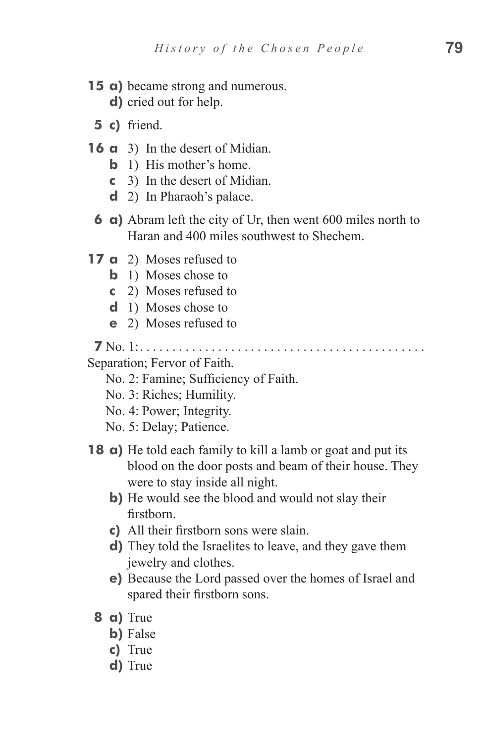- **15 a)** became strong and numerous. **d**) cried out for help.
	- **5 c)** friend.
- **16 a** 3) In the desert of Midian.
	- **b** 1) His mother's home.
	- **c**  3) In the desert of Midian.
	- **d** 2) In Pharaoh's palace.
	- **6 a)** Abram left the city of Ur, then went 600 miles north to Haran and 400 miles southwest to Shechem.
- **17 a** 2) Moses refused to
	- **b** 1) Moses chose to
	- **c**  2) Moses refused to
	- **d** 1) Moses chose to
	- **e** 2) Moses refused to

**7** No. 1:. . .

Separation; Fervor of Faith.

No. 2: Famine; Sufficiency of Faith.

- No. 3: Riches; Humility.
- No. 4: Power; Integrity.
- No. 5: Delay; Patience.
- **18** a) He told each family to kill a lamb or goat and put its blood on the door posts and beam of their house. They were to stay inside all night.
	- **b**) He would see the blood and would not slay their firstborn.
	- **c)**  All their firstborn sons were slain.
	- **d**) They told the Israelites to leave, and they gave them jewelry and clothes.
	- **e)** Because the Lord passed over the homes of Israel and spared their firstborn sons.
	- **8 a)** True
		- **b**) False
		- **c)**  True
		- **d)** True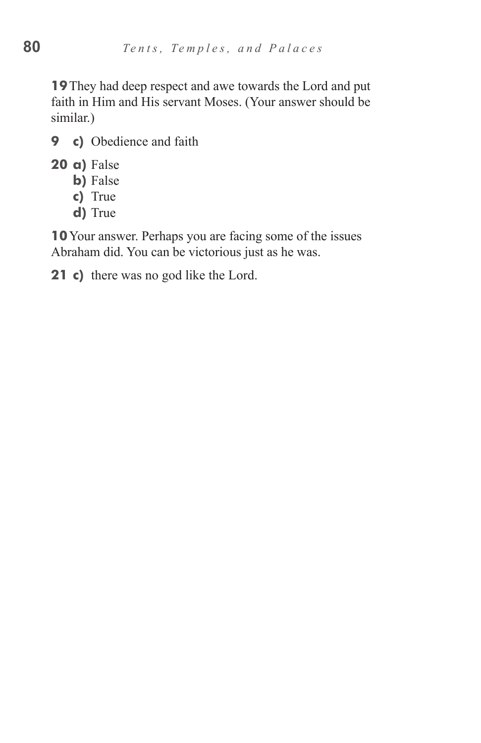**19**They had deep respect and awe towards the Lord and put faith in Him and His servant Moses. (Your answer should be similar.)

- **9 c)** Obedience and faith
- **20 a)** False
	- **b**) False
	- **c)**  True
	- d) True

**10**Your answer. Perhaps you are facing some of the issues Abraham did. You can be victorious just as he was.

**21** c) there was no god like the Lord.